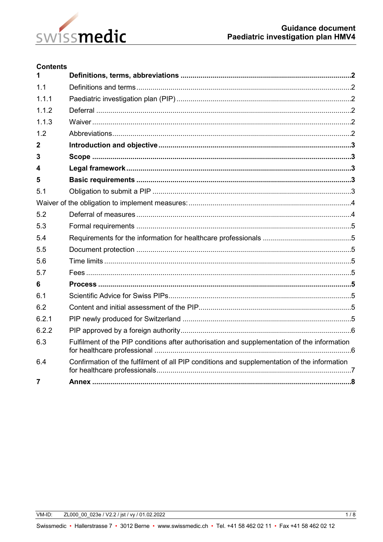

#### **Contents**

| 1     |                                                                                             |  |
|-------|---------------------------------------------------------------------------------------------|--|
| 1.1   |                                                                                             |  |
| 1.1.1 |                                                                                             |  |
| 1.1.2 |                                                                                             |  |
| 1.1.3 |                                                                                             |  |
| 1.2   |                                                                                             |  |
| 2     |                                                                                             |  |
| 3     |                                                                                             |  |
| 4     |                                                                                             |  |
| 5     |                                                                                             |  |
| 5.1   |                                                                                             |  |
|       |                                                                                             |  |
| 5.2   |                                                                                             |  |
| 5.3   |                                                                                             |  |
| 5.4   |                                                                                             |  |
| 5.5   |                                                                                             |  |
| 5.6   |                                                                                             |  |
| 5.7   |                                                                                             |  |
| 6     |                                                                                             |  |
| 6.1   |                                                                                             |  |
| 6.2   |                                                                                             |  |
| 6.2.1 |                                                                                             |  |
| 6.2.2 |                                                                                             |  |
| 6.3   | Fulfilment of the PIP conditions after authorisation and supplementation of the information |  |
| 6.4   | Confirmation of the fulfilment of all PIP conditions and supplementation of the information |  |
| 7     |                                                                                             |  |
|       |                                                                                             |  |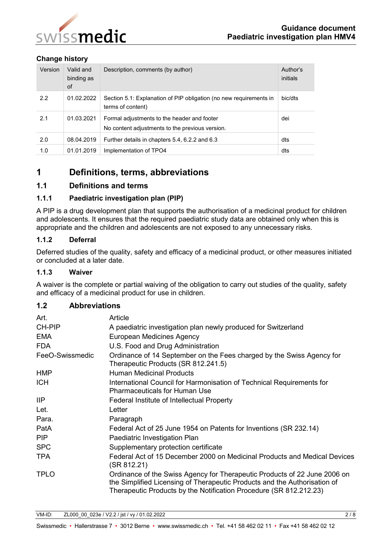

### **Change history**

| Version | Valid and<br>binding as<br>of | Description, comments (by author)                                                              | Author's<br>initials |
|---------|-------------------------------|------------------------------------------------------------------------------------------------|----------------------|
| 2.2     | 01.02.2022                    | Section 5.1: Explanation of PIP obligation (no new requirements in<br>terms of content)        | bic/dts              |
| 2.1     | 01.03.2021                    | Formal adjustments to the header and footer<br>No content adjustments to the previous version. | dei                  |
| 2.0     | 08.04.2019                    | Further details in chapters 5.4, 6.2.2 and 6.3                                                 | dts                  |
| 1.0     | 01.01.2019                    | Implementation of TPO4                                                                         | dts                  |

# <span id="page-1-0"></span>**1 Definitions, terms, abbreviations**

### <span id="page-1-1"></span>**1.1 Definitions and terms**

### <span id="page-1-2"></span>**1.1.1 Paediatric investigation plan (PIP)**

A PIP is a drug development plan that supports the authorisation of a medicinal product for children and adolescents. It ensures that the required paediatric study data are obtained only when this is appropriate and the children and adolescents are not exposed to any unnecessary risks.

#### <span id="page-1-3"></span>**1.1.2 Deferral**

Deferred studies of the quality, safety and efficacy of a medicinal product, or other measures initiated or concluded at a later date.

#### <span id="page-1-4"></span>**1.1.3 Waiver**

A waiver is the complete or partial waiving of the obligation to carry out studies of the quality, safety and efficacy of a medicinal product for use in children.

### <span id="page-1-5"></span>**1.2 Abbreviations**

| Art.            | Article                                                                                                                                                                                                                      |
|-----------------|------------------------------------------------------------------------------------------------------------------------------------------------------------------------------------------------------------------------------|
| CH-PIP          | A paediatric investigation plan newly produced for Switzerland                                                                                                                                                               |
| <b>EMA</b>      | <b>European Medicines Agency</b>                                                                                                                                                                                             |
| <b>FDA</b>      | U.S. Food and Drug Administration                                                                                                                                                                                            |
| FeeO-Swissmedic | Ordinance of 14 September on the Fees charged by the Swiss Agency for<br>Therapeutic Products (SR 812.241.5)                                                                                                                 |
| <b>HMP</b>      | <b>Human Medicinal Products</b>                                                                                                                                                                                              |
| <b>ICH</b>      | International Council for Harmonisation of Technical Requirements for<br><b>Pharmaceuticals for Human Use</b>                                                                                                                |
| IIP             | Federal Institute of Intellectual Property                                                                                                                                                                                   |
| Let.            | Letter                                                                                                                                                                                                                       |
| Para.           | Paragraph                                                                                                                                                                                                                    |
| PatA            | Federal Act of 25 June 1954 on Patents for Inventions (SR 232.14)                                                                                                                                                            |
| <b>PIP</b>      | Paediatric Investigation Plan                                                                                                                                                                                                |
| <b>SPC</b>      | Supplementary protection certificate                                                                                                                                                                                         |
| <b>TPA</b>      | Federal Act of 15 December 2000 on Medicinal Products and Medical Devices<br>(SR 812.21)                                                                                                                                     |
| <b>TPLO</b>     | Ordinance of the Swiss Agency for Therapeutic Products of 22 June 2006 on<br>the Simplified Licensing of Therapeutic Products and the Authorisation of<br>Therapeutic Products by the Notification Procedure (SR 812.212.23) |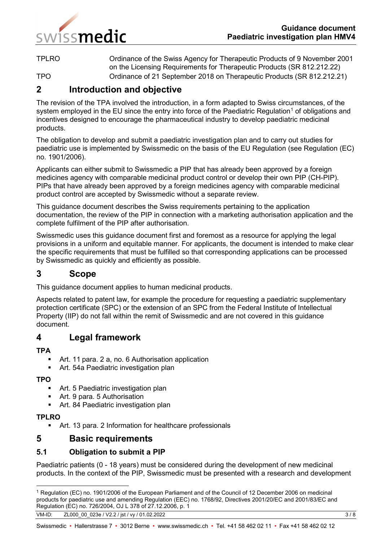

TPLRO Ordinance of the Swiss Agency for Therapeutic Products of 9 November 2001 on the Licensing Requirements for Therapeutic Products (SR 812.212.22) TPO Ordinance of 21 September 2018 on Therapeutic Products (SR 812.212.21)

# <span id="page-2-0"></span>**2 Introduction and objective**

The revision of the TPA involved the introduction, in a form adapted to Swiss circumstances, of the system employed in the EU since the entry into force of the Paediatric Regulation<sup>[1](#page-2-5)</sup> of obligations and incentives designed to encourage the pharmaceutical industry to develop paediatric medicinal products.

The obligation to develop and submit a paediatric investigation plan and to carry out studies for paediatric use is implemented by Swissmedic on the basis of the EU Regulation (see Regulation (EC) no. 1901/2006).

Applicants can either submit to Swissmedic a PIP that has already been approved by a foreign medicines agency with comparable medicinal product control or develop their own PIP (CH-PIP). PIPs that have already been approved by a foreign medicines agency with comparable medicinal product control are accepted by Swissmedic without a separate review.

This guidance document describes the Swiss requirements pertaining to the application documentation, the review of the PIP in connection with a marketing authorisation application and the complete fulfilment of the PIP after authorisation.

Swissmedic uses this guidance document first and foremost as a resource for applying the legal provisions in a uniform and equitable manner. For applicants, the document is intended to make clear the specific requirements that must be fulfilled so that corresponding applications can be processed by Swissmedic as quickly and efficiently as possible.

# <span id="page-2-1"></span>**3 Scope**

This guidance document applies to human medicinal products.

Aspects related to patent law, for example the procedure for requesting a paediatric supplementary protection certificate (SPC) or the extension of an SPC from the Federal Institute of Intellectual Property (IIP) do not fall within the remit of Swissmedic and are not covered in this guidance document.

# <span id="page-2-2"></span>**4 Legal framework**

### **TPA**

- Art. 11 para. 2 a, no. 6 Authorisation application
- **Art. 54a Paediatric investigation plan**

### **TPO**

- Art. 5 Paediatric investigation plan
- Art. 9 para. 5 Authorisation
- **Art. 84 Paediatric investigation plan**

### **TPLRO**

Art. 13 para. 2 Information for healthcare professionals

# <span id="page-2-3"></span>**5 Basic requirements**

### <span id="page-2-4"></span>**5.1 Obligation to submit a PIP**

Paediatric patients (0 - 18 years) must be considered during the development of new medicinal products. In the context of the PIP, Swissmedic must be presented with a research and development

<span id="page-2-5"></span> <sup>1</sup> Regulation (EC) no. 1901/2006 of the European Parliament and of the Council of 12 December 2006 on medicinal products for paediatric use and amending Regulation (EEC) no. 1768/92, Directives 2001/20/EC and 2001/83/EC and Regulation (EC) no. 726/2004, OJ L 378 of 27.12.2006, p. 1

VM-ID: ZL000 00 023e / V2.2 / jst / vy / 01.02.2022 3 / 8 3 / 8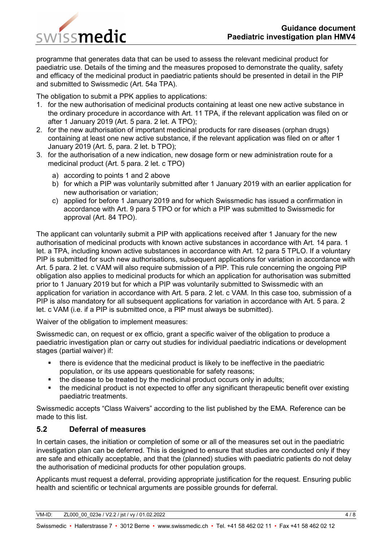



programme that generates data that can be used to assess the relevant medicinal product for paediatric use. Details of the timing and the measures proposed to demonstrate the quality, safety and efficacy of the medicinal product in paediatric patients should be presented in detail in the PIP and submitted to Swissmedic (Art. 54a TPA).

The obligation to submit a PPK applies to applications:

- 1. for the new authorisation of medicinal products containing at least one new active substance in the ordinary procedure in accordance with Art. 11 TPA, if the relevant application was filed on or after 1 January 2019 (Art. 5 para. 2 let. A TPO);
- 2. for the new authorisation of important medicinal products for rare diseases (orphan drugs) containing at least one new active substance, if the relevant application was filed on or after 1 January 2019 (Art. 5, para. 2 let. b TPO);
- 3. for the authorisation of a new indication, new dosage form or new administration route for a medicinal product (Art. 5 para. 2 let. c TPO)
	- a) according to points 1 and 2 above
	- b) for which a PIP was voluntarily submitted after 1 January 2019 with an earlier application for new authorisation or variation;
	- c) applied for before 1 January 2019 and for which Swissmedic has issued a confirmation in accordance with Art. 9 para 5 TPO or for which a PIP was submitted to Swissmedic for approval (Art. 84 TPO).

The applicant can voluntarily submit a PIP with applications received after 1 January for the new authorisation of medicinal products with known active substances in accordance with Art. 14 para. 1 let. a TPA, including known active substances in accordance with Art. 12 para 5 TPLO. If a voluntary PIP is submitted for such new authorisations, subsequent applications for variation in accordance with Art. 5 para. 2 let. c VAM will also require submission of a PIP. This rule concerning the ongoing PIP obligation also applies to medicinal products for which an application for authorisation was submitted prior to 1 January 2019 but for which a PIP was voluntarily submitted to Swissmedic with an application for variation in accordance with Art. 5 para. 2 let. c VAM. In this case too, submission of a PIP is also mandatory for all subsequent applications for variation in accordance with Art. 5 para. 2 let. c VAM (i.e. if a PIP is submitted once, a PIP must always be submitted).

<span id="page-3-0"></span>Waiver of the obligation to implement measures:

Swissmedic can, on request or ex officio, grant a specific waiver of the obligation to produce a paediatric investigation plan or carry out studies for individual paediatric indications or development stages (partial waiver) if:

- there is evidence that the medicinal product is likely to be ineffective in the paediatric population, or its use appears questionable for safety reasons;
- the disease to be treated by the medicinal product occurs only in adults;
- the medicinal product is not expected to offer any significant therapeutic benefit over existing paediatric treatments.

Swissmedic accepts "Class Waivers" according to the list published by the EMA. Reference can be made to this list.

### <span id="page-3-1"></span>**5.2 Deferral of measures**

In certain cases, the initiation or completion of some or all of the measures set out in the paediatric investigation plan can be deferred. This is designed to ensure that studies are conducted only if they are safe and ethically acceptable, and that the (planned) studies with paediatric patients do not delay the authorisation of medicinal products for other population groups.

Applicants must request a deferral, providing appropriate justification for the request. Ensuring public health and scientific or technical arguments are possible grounds for deferral.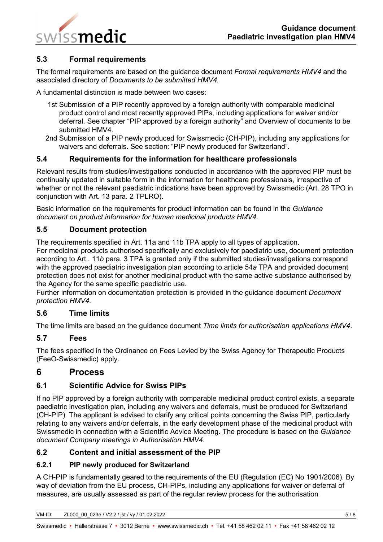

### <span id="page-4-0"></span>**5.3 Formal requirements**

The formal requirements are based on the guidance document *Formal requirements HMV4* and the associated directory of *Documents to be submitted HMV4.*

A fundamental distinction is made between two cases:

- 1st Submission of a PIP recently approved by a foreign authority with comparable medicinal product control and most recently approved PIPs, including applications for waiver and/or deferral. See chapter "PIP approved by a foreign authority" and Overview of documents to be submitted HMV4.
- 2nd Submission of a PIP newly produced for Swissmedic (CH-PIP), including any applications for waivers and deferrals. See section: "PIP newly produced for Switzerland".

### <span id="page-4-1"></span>**5.4 Requirements for the information for healthcare professionals**

Relevant results from studies/investigations conducted in accordance with the approved PIP must be continually updated in suitable form in the information for healthcare professionals, irrespective of whether or not the relevant paediatric indications have been approved by Swissmedic (Art. 28 TPO in conjunction with Art. 13 para. 2 TPLRO).

Basic information on the requirements for product information can be found in the *Guidance document on product information for human medicinal products HMV4*.

### <span id="page-4-2"></span>**5.5 Document protection**

The requirements specified in Art. 11a and 11b TPA apply to all types of application.

For medicinal products authorised specifically and exclusively for paediatric use, document protection according to Art.. 11*b* para. 3 TPA is granted only if the submitted studies/investigations correspond with the approved paediatric investigation plan according to article 54*a* TPA and provided document protection does not exist for another medicinal product with the same active substance authorised by the Agency for the same specific paediatric use.

Further information on documentation protection is provided in the guidance document *Document protection HMV4*.

### <span id="page-4-3"></span>**5.6 Time limits**

The time limits are based on the guidance document *Time limits for authorisation applications HMV4*.

### <span id="page-4-4"></span>**5.7 Fees**

The fees specified in the Ordinance on Fees Levied by the Swiss Agency for Therapeutic Products (FeeO-Swissmedic) apply.

### <span id="page-4-5"></span>**6 Process**

### <span id="page-4-6"></span>**6.1 Scientific Advice for Swiss PIPs**

If no PIP approved by a foreign authority with comparable medicinal product control exists, a separate paediatric investigation plan, including any waivers and deferrals, must be produced for Switzerland (CH-PIP). The applicant is advised to clarify any critical points concerning the Swiss PIP, particularly relating to any waivers and/or deferrals, in the early development phase of the medicinal product with Swissmedic in connection with a Scientific Advice Meeting. The procedure is based on the *Guidance document Company meetings in Authorisation HMV4*.

### <span id="page-4-7"></span>**6.2 Content and initial assessment of the PIP**

### <span id="page-4-8"></span>**6.2.1 PIP newly produced for Switzerland**

A CH-PIP is fundamentally geared to the requirements of the EU (Regulation (EC) No 1901/2006). By way of deviation from the EU process, CH-PIPs, including any applications for waiver or deferral of measures, are usually assessed as part of the regular review process for the authorisation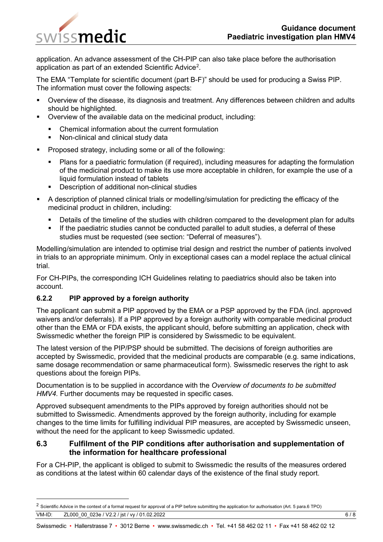

application. An advance assessment of the CH-PIP can also take place before the authorisation application as part of an extended Scientific Advice<sup>[2](#page-5-2)</sup>.

The EMA "Template for scientific document (part B-F)" should be used for producing a Swiss PIP. The information must cover the following aspects:

- Overview of the disease, its diagnosis and treatment. Any differences between children and adults should be highlighted.
- Overview of the available data on the medicinal product, including:
	- Chemical information about the current formulation
	- Non-clinical and clinical study data
- Proposed strategy, including some or all of the following:
	- Plans for a paediatric formulation (if required), including measures for adapting the formulation of the medicinal product to make its use more acceptable in children, for example the use of a liquid formulation instead of tablets
	- Description of additional non-clinical studies
- A description of planned clinical trials or modelling/simulation for predicting the efficacy of the medicinal product in children, including:
	- Details of the timeline of the studies with children compared to the development plan for adults
	- If the paediatric studies cannot be conducted parallel to adult studies, a deferral of these studies must be requested (see section: "Deferral of measures").

Modelling/simulation are intended to optimise trial design and restrict the number of patients involved in trials to an appropriate minimum. Only in exceptional cases can a model replace the actual clinical trial.

For CH-PIPs, the corresponding ICH Guidelines relating to paediatrics should also be taken into account.

### <span id="page-5-0"></span>**6.2.2 PIP approved by a foreign authority**

The applicant can submit a PIP approved by the EMA or a PSP approved by the FDA (incl. approved waivers and/or deferrals). If a PIP approved by a foreign authority with comparable medicinal product other than the EMA or FDA exists, the applicant should, before submitting an application, check with Swissmedic whether the foreign PIP is considered by Swissmedic to be equivalent.

The latest version of the PIP/PSP should be submitted. The decisions of foreign authorities are accepted by Swissmedic, provided that the medicinal products are comparable (e.g. same indications, same dosage recommendation or same pharmaceutical form). Swissmedic reserves the right to ask questions about the foreign PIPs.

Documentation is to be supplied in accordance with the *Overview of documents to be submitted HMV4.* Further documents may be requested in specific cases.

Approved subsequent amendments to the PIPs approved by foreign authorities should not be submitted to Swissmedic. Amendments approved by the foreign authority, including for example changes to the time limits for fulfilling individual PIP measures, are accepted by Swissmedic unseen, without the need for the applicant to keep Swissmedic updated.

#### <span id="page-5-1"></span>**6.3 Fulfilment of the PIP conditions after authorisation and supplementation of the information for healthcare professional**

For a CH-PIP, the applicant is obliged to submit to Swissmedic the results of the measures ordered as conditions at the latest within 60 calendar days of the existence of the final study report.

<span id="page-5-2"></span>VM-ID: ZL000\_00\_023e / V2.2 / jst / vy / 01.02.2022 6 / 8  $2$  Scientific Advice in the context of a formal request for approval of a PIP before submitting the application for authorisation (Art. 5 para.6 TPO)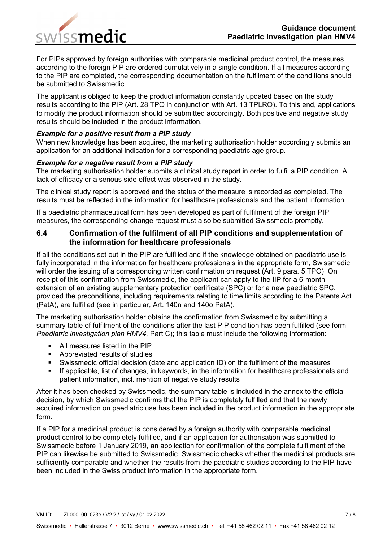

For PIPs approved by foreign authorities with comparable medicinal product control, the measures according to the foreign PIP are ordered cumulatively in a single condition. If all measures according to the PIP are completed, the corresponding documentation on the fulfilment of the conditions should be submitted to Swissmedic.

The applicant is obliged to keep the product information constantly updated based on the study results according to the PIP (Art. 28 TPO in conjunction with Art. 13 TPLRO). To this end, applications to modify the product information should be submitted accordingly. Both positive and negative study results should be included in the product information.

#### *Example for a positive result from a PIP study*

When new knowledge has been acquired, the marketing authorisation holder accordingly submits an application for an additional indication for a corresponding paediatric age group.

#### *Example for a negative result from a PIP study*

The marketing authorisation holder submits a clinical study report in order to fulfil a PIP condition. A lack of efficacy or a serious side effect was observed in the study.

The clinical study report is approved and the status of the measure is recorded as completed. The results must be reflected in the information for healthcare professionals and the patient information.

If a paediatric pharmaceutical form has been developed as part of fulfilment of the foreign PIP measures, the corresponding change request must also be submitted Swissmedic promptly.

#### <span id="page-6-0"></span>**6.4 Confirmation of the fulfilment of all PIP conditions and supplementation of the information for healthcare professionals**

If all the conditions set out in the PIP are fulfilled and if the knowledge obtained on paediatric use is fully incorporated in the information for healthcare professionals in the appropriate form, Swissmedic will order the issuing of a corresponding written confirmation on request (Art. 9 para. 5 TPO). On receipt of this confirmation from Swissmedic, the applicant can apply to the IIP for a 6-month extension of an existing supplementary protection certificate (SPC) or for a new paediatric SPC, provided the preconditions, including requirements relating to time limits according to the Patents Act (PatA), are fulfilled (see in particular, Art. 140n and 140o PatA).

The marketing authorisation holder obtains the confirmation from Swissmedic by submitting a summary table of fulfilment of the conditions after the last PIP condition has been fulfilled (see form: *Paediatric investigation plan HMV4*, Part C); this table must include the following information:

- All measures listed in the PIP
- **EXECUTE:** Abbreviated results of studies
- Swissmedic official decision (date and application ID) on the fulfilment of the measures
- If applicable, list of changes, in keywords, in the information for healthcare professionals and patient information, incl. mention of negative study results

After it has been checked by Swissmedic, the summary table is included in the annex to the official decision, by which Swissmedic confirms that the PIP is completely fulfilled and that the newly acquired information on paediatric use has been included in the product information in the appropriate form.

If a PIP for a medicinal product is considered by a foreign authority with comparable medicinal product control to be completely fulfilled, and if an application for authorisation was submitted to Swissmedic before 1 January 2019, an application for confirmation of the complete fulfilment of the PIP can likewise be submitted to Swissmedic. Swissmedic checks whether the medicinal products are sufficiently comparable and whether the results from the paediatric studies according to the PIP have been included in the Swiss product information in the appropriate form.